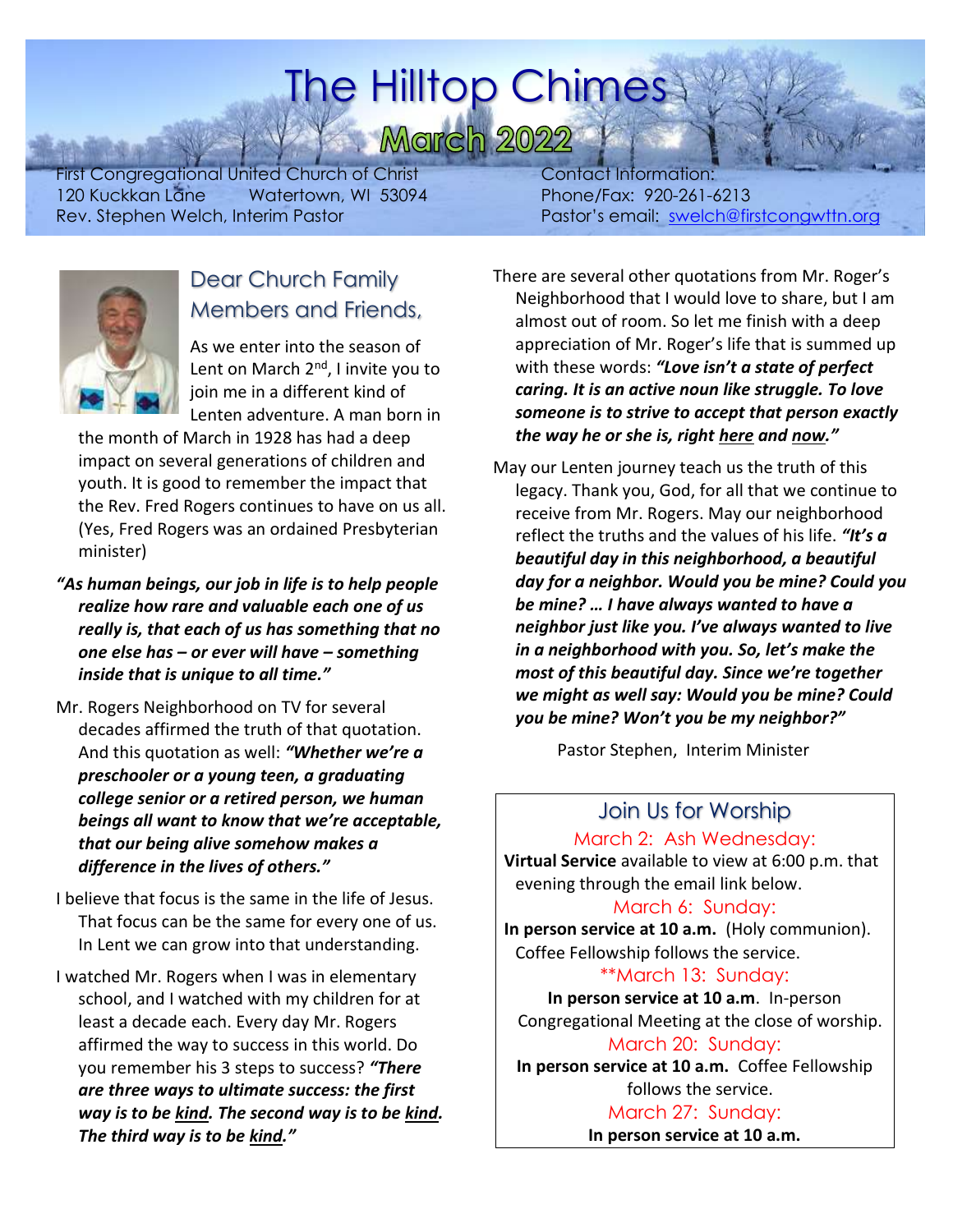# The Hilltop Chimes

**March 2022** 

First Congregational United Church of Christ 120 Kuckkan Lane Watertown, WI 53094 Rev. Stephen Welch, Interim Pastor

 Contact Information: Phone/Fax: 920-261-6213 Pastor's email: [swelch@firstcongwttn.org](mailto:swelch@firstcongwttn.org)



#### Dear Church Family Members and Friends,

As we enter into the season of Lent on March 2<sup>nd</sup>, I invite you to join me in a different kind of Lenten adventure. A man born in

the month of March in 1928 has had a deep impact on several generations of children and youth. It is good to remember the impact that the Rev. Fred Rogers continues to have on us all. (Yes, Fred Rogers was an ordained Presbyterian minister)

- *"As human beings, our job in life is to help people realize how rare and valuable each one of us really is, that each of us has something that no one else has – or ever will have – something inside that is unique to all time."*
- Mr. Rogers Neighborhood on TV for several decades affirmed the truth of that quotation. And this quotation as well: *"Whether we're a preschooler or a young teen, a graduating college senior or a retired person, we human beings all want to know that we're acceptable, that our being alive somehow makes a difference in the lives of others."*
- I believe that focus is the same in the life of Jesus. That focus can be the same for every one of us. In Lent we can grow into that understanding.
- I watched Mr. Rogers when I was in elementary school, and I watched with my children for at least a decade each. Every day Mr. Rogers affirmed the way to success in this world. Do you remember his 3 steps to success? *"There are three ways to ultimate success: the first way is to be kind. The second way is to be kind. The third way is to be kind."*

There are several other quotations from Mr. Roger's Neighborhood that I would love to share, but I am almost out of room. So let me finish with a deep appreciation of Mr. Roger's life that is summed up with these words: *"Love isn't a state of perfect caring. It is an active noun like struggle. To love someone is to strive to accept that person exactly the way he or she is, right here and now."*

May our Lenten journey teach us the truth of this legacy. Thank you, God, for all that we continue to receive from Mr. Rogers. May our neighborhood reflect the truths and the values of his life. *"It's a beautiful day in this neighborhood, a beautiful day for a neighbor. Would you be mine? Could you be mine? … I have always wanted to have a neighbor just like you. I've always wanted to live in a neighborhood with you. So, let's make the most of this beautiful day. Since we're together we might as well say: Would you be mine? Could you be mine? Won't you be my neighbor?"*

Pastor Stephen, Interim Minister

# Join Us for Worship

#### March 2: Ash Wednesday:

**Virtual Service** available to view at 6:00 p.m. that evening through the email link below.

#### March 6: Sunday:

**In person service at 10 a.m.** (Holy communion). Coffee Fellowship follows the service.

#### \*\*March 13: Sunday:

**In person service at 10 a.m**. In-person Congregational Meeting at the close of worship.

March 20: Sunday: **In person service at 10 a.m.** Coffee Fellowship follows the service. March 27: Sunday:

**In person service at 10 a.m.**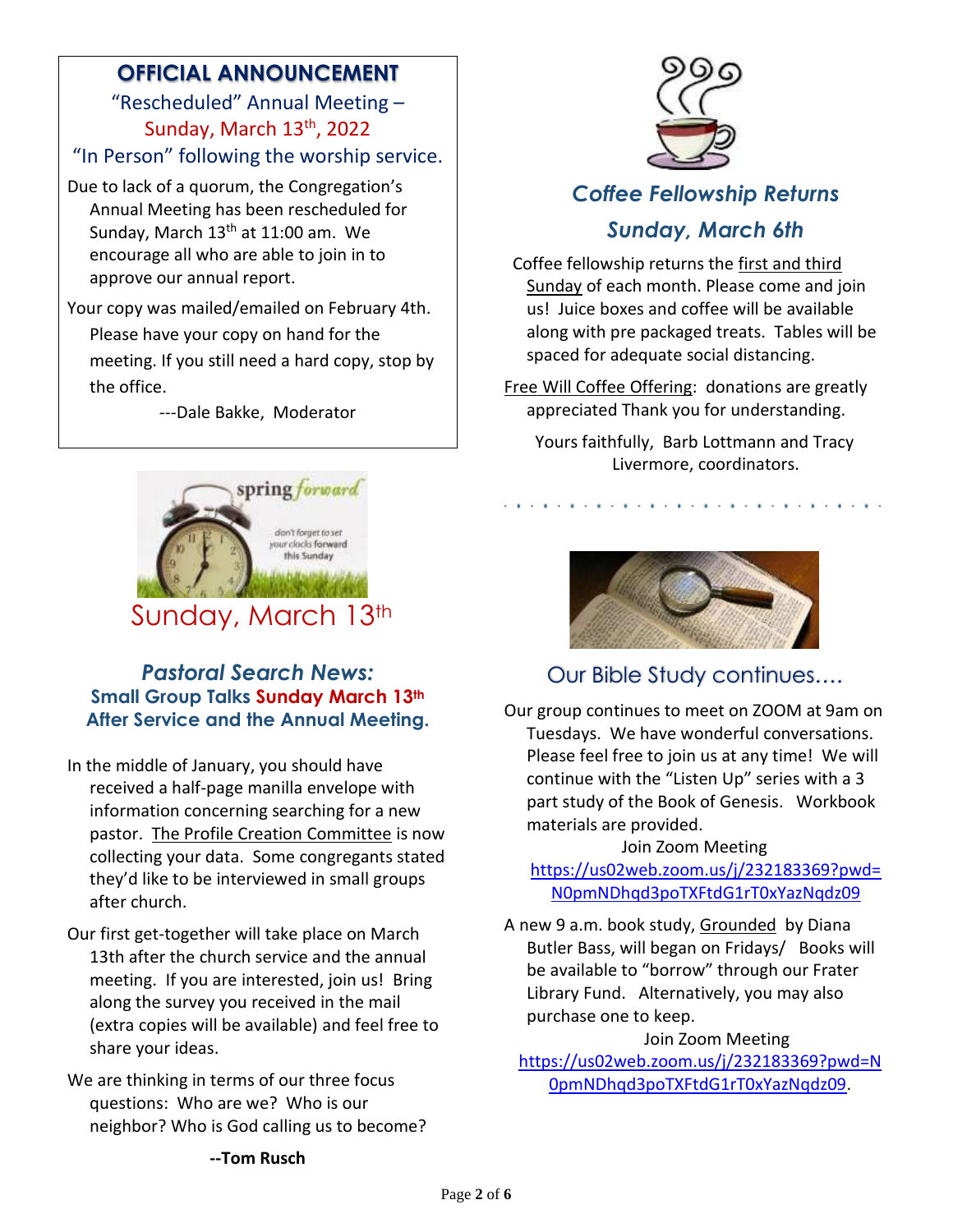#### **OFFICIAL ANNOUNCEMENT**

"Rescheduled" Annual Meeting – Sunday, March 13<sup>th</sup>, 2022 "In Person" following the worship service.

Due to lack of a quorum, the Congregation's Annual Meeting has been rescheduled for Sunday, March 13<sup>th</sup> at 11:00 am. We encourage all who are able to join in to approve our annual report.

Your copy was mailed/emailed on February 4th.

Please have your copy on hand for the meeting. If you still need a hard copy, stop by the office.

---Dale Bakke, Moderator



#### *Pastoral Search News:* **Small Group Talks Sunday March 13th After Service and the Annual Meeting.**

- In the middle of January, you should have received a half-page manilla envelope with information concerning searching for a new pastor. The Profile Creation Committee is now collecting your data. Some congregants stated they'd like to be interviewed in small groups after church.
- Our first get-together will take place on March 13th after the church service and the annual meeting. If you are interested, join us! Bring along the survey you received in the mail (extra copies will be available) and feel free to share your ideas.
- We are thinking in terms of our three focus questions: Who are we? Who is our neighbor? Who is God calling us to become?



*Coffee Fellowship Returns*

#### *Sunday, March 6th*

 Coffee fellowship returns the first and third Sunday of each month. Please come and join us! Juice boxes and coffee will be available along with pre packaged treats. Tables will be spaced for adequate social distancing.

Free Will Coffee Offering: donations are greatly appreciated Thank you for understanding.

Yours faithfully, Barb Lottmann and Tracy Livermore, coordinators.



Our Bible Study continues….

Our group continues to meet on ZOOM at 9am on Tuesdays. We have wonderful conversations. Please feel free to join us at any time! We will continue with the "Listen Up" series with a 3 part study of the Book of Genesis. Workbook materials are provided.

Join Zoom Meeting

[https://us02web.zoom.us/j/232183369?pwd=](https://us02web.zoom.us/j/232183369?pwd=N0pmNDhqd3poTXFtdG1rT0xYazNqdz09) [N0pmNDhqd3poTXFtdG1rT0xYazNqdz09](https://us02web.zoom.us/j/232183369?pwd=N0pmNDhqd3poTXFtdG1rT0xYazNqdz09)

A new 9 a.m. book study, Grounded by Diana Butler Bass, will began on Fridays/ Books will be available to "borrow" through our Frater Library Fund. Alternatively, you may also purchase one to keep.

#### Join Zoom Meeting

[https://us02web.zoom.us/j/232183369?pwd=N](https://us02web.zoom.us/j/232183369?pwd=N0pmNDhqd3poTXFtdG1rT0xYazNqdz09) [0pmNDhqd3poTXFtdG1rT0xYazNqdz09.](https://us02web.zoom.us/j/232183369?pwd=N0pmNDhqd3poTXFtdG1rT0xYazNqdz09)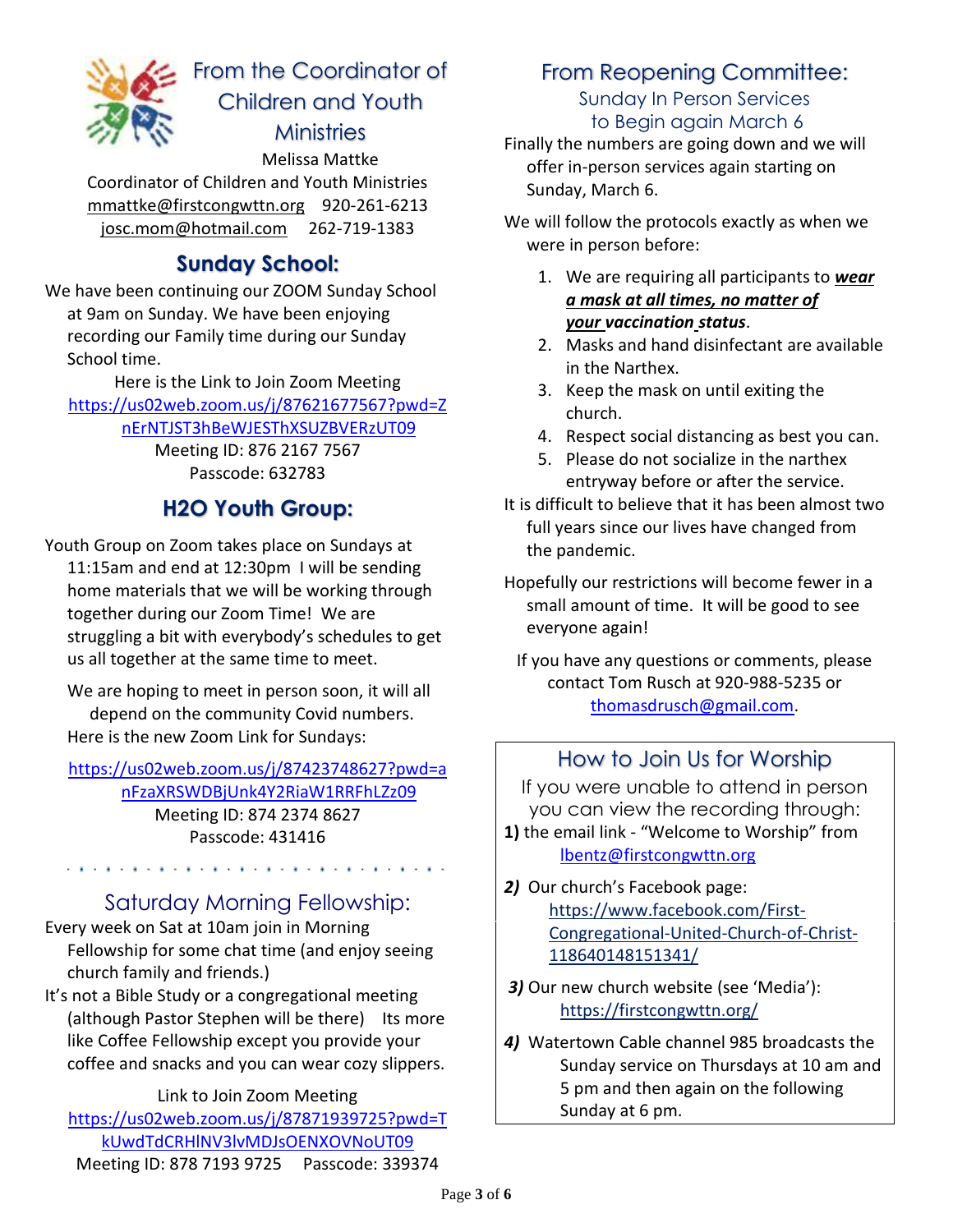

# From the Coordinator of Children and Youth

**Ministries** 

Melissa Mattke Coordinator of Children and Youth Ministries [mmattke@firstcongwttn.org](mailto:mmattke@firstcongwttn.org) 920-261-6213 [josc.mom@hotmail.com](mailto:josc.mom@hotmail.com) 262-719-1383

# **Sunday School:**

We have been continuing our ZOOM Sunday School at 9am on Sunday. We have been enjoying recording our Family time during our Sunday School time.

Here is the Link to Join Zoom Meeting [https://us02web.zoom.us/j/87621677567?pwd=Z](https://us02web.zoom.us/j/87621677567?pwd=ZnErNTJST3hBeWJESThXSUZBVERzUT09)

[nErNTJST3hBeWJESThXSUZBVERzUT09](https://us02web.zoom.us/j/87621677567?pwd=ZnErNTJST3hBeWJESThXSUZBVERzUT09) Meeting ID: 876 2167 7567 Passcode: 632783

# **H2O Youth Group:**

Youth Group on Zoom takes place on Sundays at 11:15am and end at 12:30pm I will be sending home materials that we will be working through together during our Zoom Time! We are struggling a bit with everybody's schedules to get us all together at the same time to meet.

We are hoping to meet in person soon, it will all depend on the community Covid numbers. Here is the new Zoom Link for Sundays:

[https://us02web.zoom.us/j/87423748627?pwd=a](https://us02web.zoom.us/j/87423748627?pwd=anFzaXRSWDBjUnk4Y2RiaW1RRFhLZz09) [nFzaXRSWDBjUnk4Y2RiaW1RRFhLZz09](https://us02web.zoom.us/j/87423748627?pwd=anFzaXRSWDBjUnk4Y2RiaW1RRFhLZz09)

Meeting ID: 874 2374 8627 Passcode: 431416

# Saturday Morning Fellowship:

Every week on Sat at 10am join in Morning Fellowship for some chat time (and enjoy seeing church family and friends.)

. . . . . . . . . . . . . . . . . . .

It's not a Bible Study or a congregational meeting (although Pastor Stephen will be there) Its more like Coffee Fellowship except you provide your coffee and snacks and you can wear cozy slippers.

Link to Join Zoom Meeting [https://us02web.zoom.us/j/87871939725?pwd=T](https://us02web.zoom.us/j/87871939725?pwd=TkUwdTdCRHlNV3lvMDJsOENXOVNoUT09) [kUwdTdCRHlNV3lvMDJsOENXOVNoUT09](https://us02web.zoom.us/j/87871939725?pwd=TkUwdTdCRHlNV3lvMDJsOENXOVNoUT09) Meeting ID: 878 7193 9725 Passcode: 339374

#### From Reopening Committee: Sunday In Person Services to Begin again March 6

Finally the numbers are going down and we will offer in-person services again starting on Sunday, March 6.

We will follow the protocols exactly as when we were in person before:

- 1. We are requiring all participants to *wear a mask at all times, no matter of your vaccination status*.
- 2. Masks and hand disinfectant are available in the Narthex.
- 3. Keep the mask on until exiting the church.
- 4. Respect social distancing as best you can.
- 5. Please do not socialize in the narthex entryway before or after the service.
- It is difficult to believe that it has been almost two full years since our lives have changed from the pandemic.
- Hopefully our restrictions will become fewer in a small amount of time. It will be good to see everyone again!

If you have any questions or comments, please contact Tom Rusch at 920-988-5235 or [thomasdrusch@gmail.com.](mailto:thomasdrusch@gmail.com)

# How to Join Us for Worship

If you were unable to attend in person you can view the recording through:

- **1)** the email link "Welcome to Worship" from [lbentz@firstcongwttn.org](mailto:lbentz@firstcongwttn.org)
- *2)* Our church's Facebook page: [https://www.facebook.com/First-](https://www.facebook.com/First-Congregational-United-Church-of-Christ-118640148151341/)[Congregational-United-Church-of-Christ-](https://www.facebook.com/First-Congregational-United-Church-of-Christ-118640148151341/)[118640148151341/](https://www.facebook.com/First-Congregational-United-Church-of-Christ-118640148151341/)
- 3) Our new church website (see 'Media'): <https://firstcongwttn.org/>
- *4)* Watertown Cable channel 985 broadcasts the Sunday service on Thursdays at 10 am and 5 pm and then again on the following Sunday at 6 pm.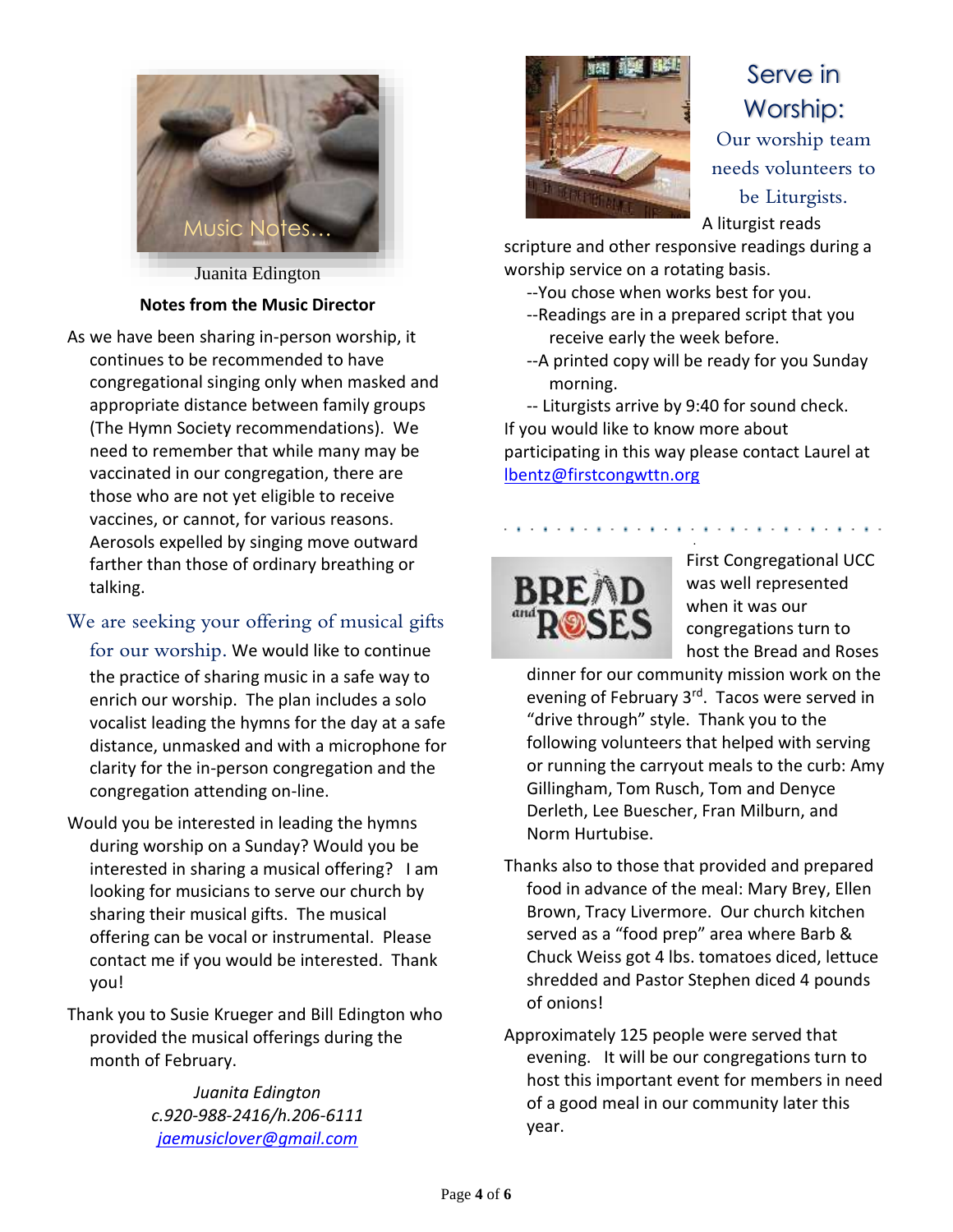

Juanita Edington **Notes from the Music Director**

As we have been sharing in-person worship, it continues to be recommended to have congregational singing only when masked and appropriate distance between family groups (The Hymn Society recommendations). We need to remember that while many may be vaccinated in our congregation, there are those who are not yet eligible to receive vaccines, or cannot, for various reasons. Aerosols expelled by singing move outward farther than those of ordinary breathing or talking.

#### We are seeking your offering of musical gifts

for our worship. We would like to continue the practice of sharing music in a safe way to enrich our worship. The plan includes a solo vocalist leading the hymns for the day at a safe distance, unmasked and with a microphone for clarity for the in-person congregation and the congregation attending on-line.

- Would you be interested in leading the hymns during worship on a Sunday? Would you be interested in sharing a musical offering? I am looking for musicians to serve our church by sharing their musical gifts. The musical offering can be vocal or instrumental. Please contact me if you would be interested. Thank you!
- Thank you to Susie Krueger and Bill Edington who provided the musical offerings during the month of February.

*Juanita Edington c.920-988-2416/h.206-6111 [jaemusiclover@gmail.com](mailto:jaemusiclover@gmail.com)*



## Serve in Worship: Our worship team needs volunteers to be Liturgists. A liturgist reads

scripture and other responsive readings during a worship service on a rotating basis.

- --You chose when works best for you.
- --Readings are in a prepared script that you receive early the week before.
- --A printed copy will be ready for you Sunday morning.

-- Liturgists arrive by 9:40 for sound check. If you would like to know more about participating in this way please contact Laurel at [lbentz@firstcongwttn.org](mailto:lbentz@firstcongwttn.org)

.



First Congregational UCC was well represented when it was our congregations turn to host the Bread and Roses

**Contract of the Contract Contract** 

dinner for our community mission work on the evening of February 3<sup>rd</sup>. Tacos were served in "drive through" style. Thank you to the following volunteers that helped with serving or running the carryout meals to the curb: Amy Gillingham, Tom Rusch, Tom and Denyce Derleth, Lee Buescher, Fran Milburn, and Norm Hurtubise.

- Thanks also to those that provided and prepared food in advance of the meal: Mary Brey, Ellen Brown, Tracy Livermore. Our church kitchen served as a "food prep" area where Barb & Chuck Weiss got 4 lbs. tomatoes diced, lettuce shredded and Pastor Stephen diced 4 pounds of onions!
- Approximately 125 people were served that evening. It will be our congregations turn to host this important event for members in need of a good meal in our community later this year.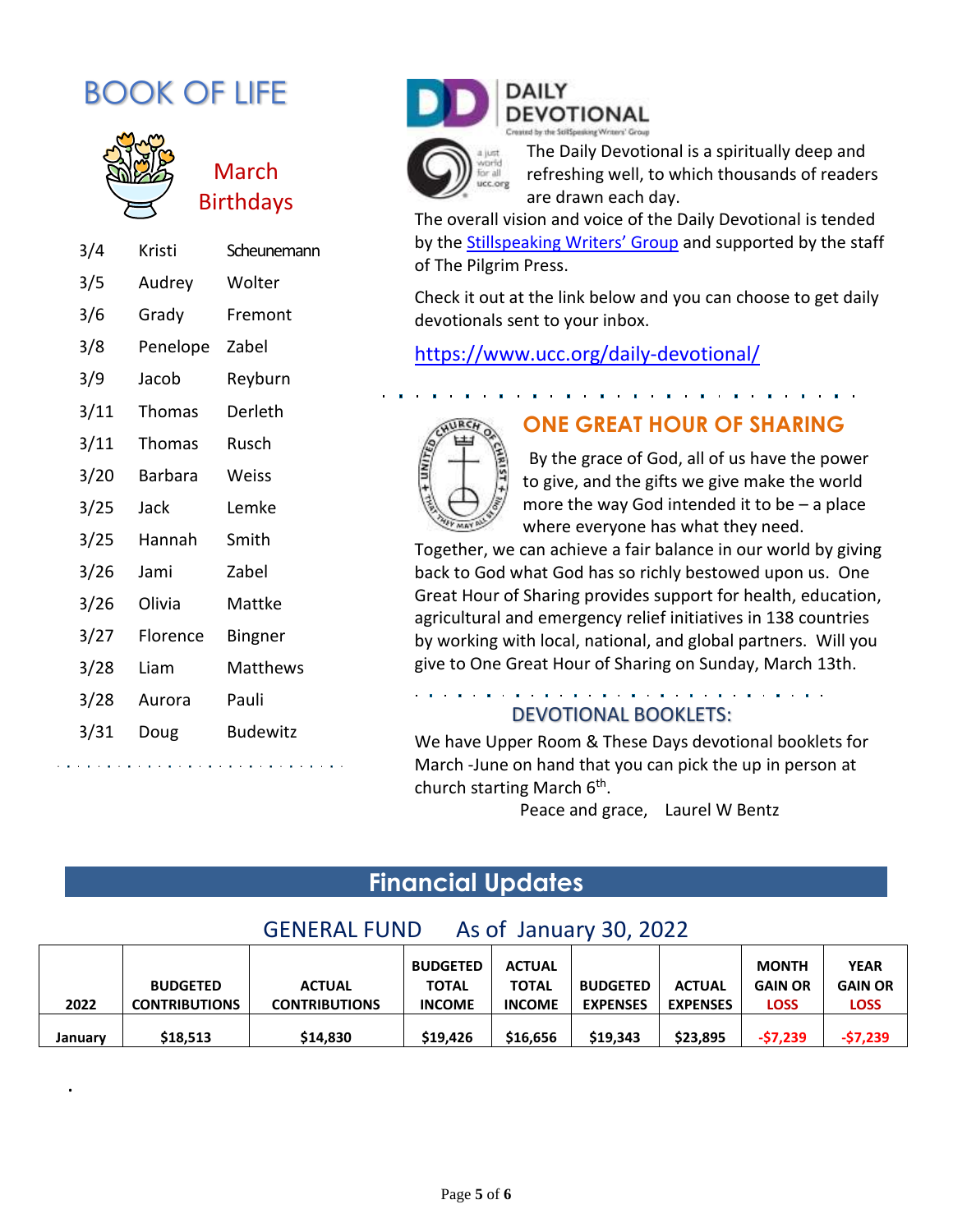# BOOK OF LIFE



March Birthdays

| 3/4  | Kristi        | Scheunemann |
|------|---------------|-------------|
| 3/5  | Audrey        | Wolter      |
| 3/6  | Grady         | Fremont     |
| 3/8  | Penelope      | Zabel       |
| 3/9  | Jacob         | Reyburn     |
| 3/11 | <b>Thomas</b> | Derleth     |
| 3/11 | <b>Thomas</b> | Rusch       |
| 3/20 | Barbara       | Weiss       |
| 3/25 | Jack          | Lemke       |
| 3/25 | Hannah        | Smith       |
| 3/26 | Jami          | Zabel       |
| 3/26 | Olivia        | Mattke      |
| 3/27 | Florence      | Bingner     |
| 3/28 | Liam          | Matthews    |
| 3/28 | Aurora        | Pauli       |
| 3/31 | Doug          | Budewitz    |
|      |               |             |

.





The Daily Devotional is a spiritually deep and refreshing well, to which thousands of readers are drawn each day.

The overall vision and voice of the Daily Devotional is tended by the [Stillspeaking Writers' Group](https://www.ucc.org/stillspeaking-writers/) and supported by the staff of The Pilgrim Press.

Check it out at the link below and you can choose to get daily devotionals sent to your inbox.

https://www.ucc.org/daily-devotional/

**ONE GREAT HOUR OF SHARING**

By the grace of God, all of us have the power to give, and the gifts we give make the world more the way God intended it to be – a place where everyone has what they need.

Together, we can achieve a fair balance in our world by giving back to God what God has so richly bestowed upon us. One Great Hour of Sharing provides support for health, education, agricultural and emergency relief initiatives in 138 countries by working with local, national, and global partners. Will you give to One Great Hour of Sharing on Sunday, March 13th.

DEVOTIONAL BOOKLETS:

We have Upper Room & These Days devotional booklets for March -June on hand that you can pick the up in person at church starting March 6<sup>th</sup>.

Peace and grace, Laurel W Bentz

# **Financial Updates**

|         |                                         |                                       | <b>BUDGETED</b>        | <b>ACTUAL</b>          |                                    |                                  | <b>MONTH</b>                  | <b>YEAR</b>                   |
|---------|-----------------------------------------|---------------------------------------|------------------------|------------------------|------------------------------------|----------------------------------|-------------------------------|-------------------------------|
| 2022    | <b>BUDGETED</b><br><b>CONTRIBUTIONS</b> | <b>ACTUAL</b><br><b>CONTRIBUTIONS</b> | ΤΟΤΑL<br><b>INCOME</b> | TOTAL<br><b>INCOME</b> | <b>BUDGETED</b><br><b>EXPENSES</b> | <b>ACTUAL</b><br><b>EXPENSES</b> | <b>GAIN OR</b><br><b>LOSS</b> | <b>GAIN OR</b><br><b>LOSS</b> |
| January | \$18.513                                | \$14,830                              | \$19,426               | \$16,656               | \$19,343                           | \$23,895                         | $-57,239$                     | $-57,239$                     |

### GENERAL FUND As of January 30, 2022